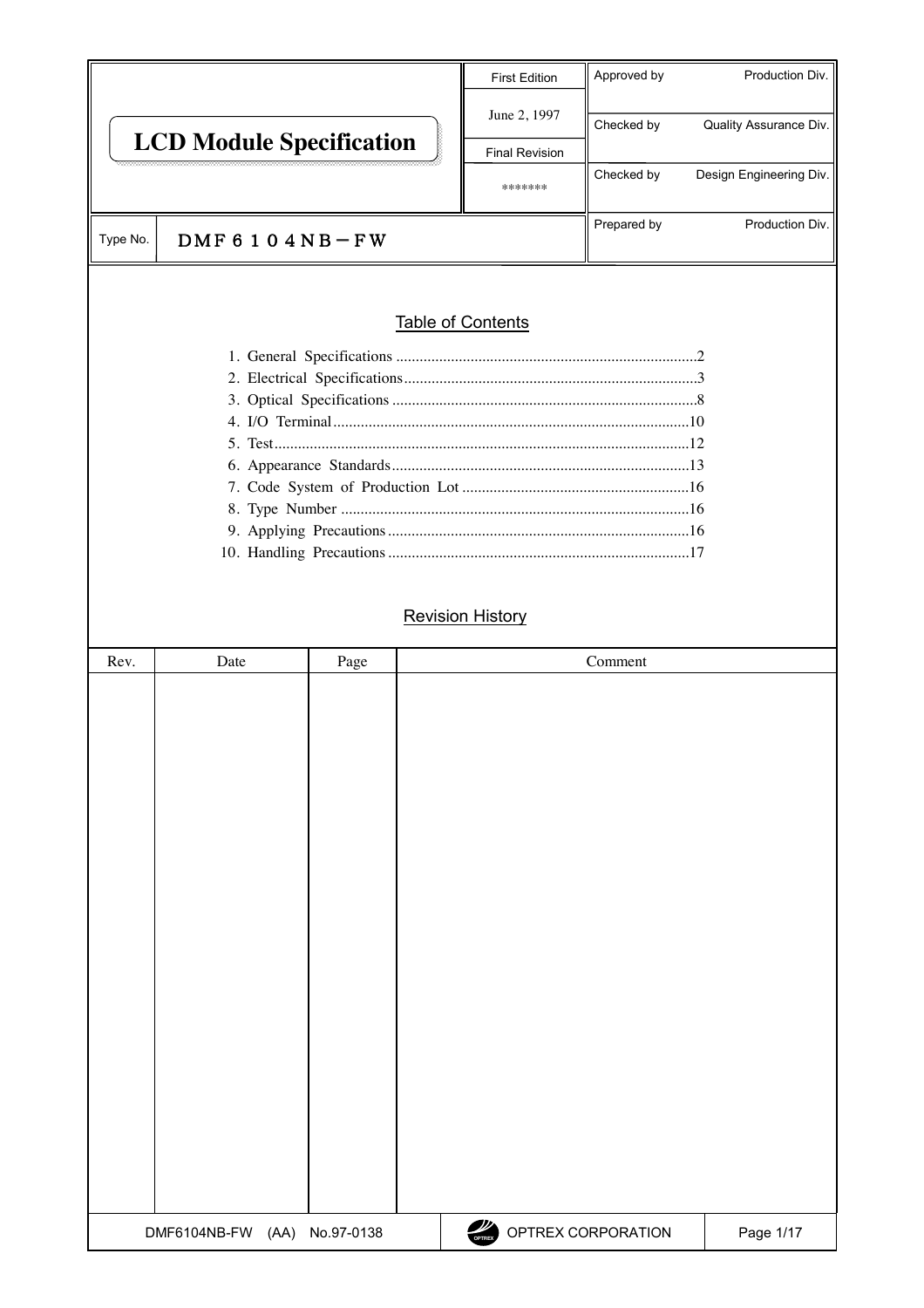|                                                                                                                                                                                                                                                                                                                                                                                                           | <b>First Edition</b>                  | Approved by     | Production Div.         |  |  |  |  |
|-----------------------------------------------------------------------------------------------------------------------------------------------------------------------------------------------------------------------------------------------------------------------------------------------------------------------------------------------------------------------------------------------------------|---------------------------------------|-----------------|-------------------------|--|--|--|--|
| <b>LCD Module Specification</b>                                                                                                                                                                                                                                                                                                                                                                           | June 2, 1997<br><b>Final Revision</b> | Checked by      | Quality Assurance Div.  |  |  |  |  |
|                                                                                                                                                                                                                                                                                                                                                                                                           | *******                               | Checked by      | Design Engineering Div. |  |  |  |  |
| DMF 6 1 0 4 N B $-FW$<br>Type No.                                                                                                                                                                                                                                                                                                                                                                         | Prepared by                           | Production Div. |                         |  |  |  |  |
| Table of Contents<br>$\overline{1}$ $\overline{1}$ $\overline{1}$ $\overline{1}$ $\overline{1}$ $\overline{1}$ $\overline{1}$ $\overline{1}$ $\overline{1}$ $\overline{1}$ $\overline{1}$ $\overline{1}$ $\overline{1}$ $\overline{1}$ $\overline{1}$ $\overline{1}$ $\overline{1}$ $\overline{1}$ $\overline{1}$ $\overline{1}$ $\overline{1}$ $\overline{1}$ $\overline{1}$ $\overline{1}$ $\overline{$ |                                       |                 |                         |  |  |  |  |

# Revision History

| Rev. | Date                         | Page | Comment                              |           |
|------|------------------------------|------|--------------------------------------|-----------|
|      |                              |      |                                      |           |
|      |                              |      |                                      |           |
|      |                              |      |                                      |           |
|      |                              |      |                                      |           |
|      |                              |      |                                      |           |
|      |                              |      |                                      |           |
|      |                              |      |                                      |           |
|      |                              |      |                                      |           |
|      |                              |      |                                      |           |
|      |                              |      |                                      |           |
|      |                              |      |                                      |           |
|      |                              |      |                                      |           |
|      |                              |      |                                      |           |
|      |                              |      |                                      |           |
|      |                              |      |                                      |           |
|      |                              |      |                                      |           |
|      |                              |      |                                      |           |
|      |                              |      |                                      |           |
|      |                              |      |                                      |           |
|      |                              |      |                                      |           |
|      |                              |      |                                      |           |
|      | DMF6104NB-FW (AA) No.97-0138 |      | $\frac{d}{dt}$<br>OPTREX CORPORATION | Page 1/17 |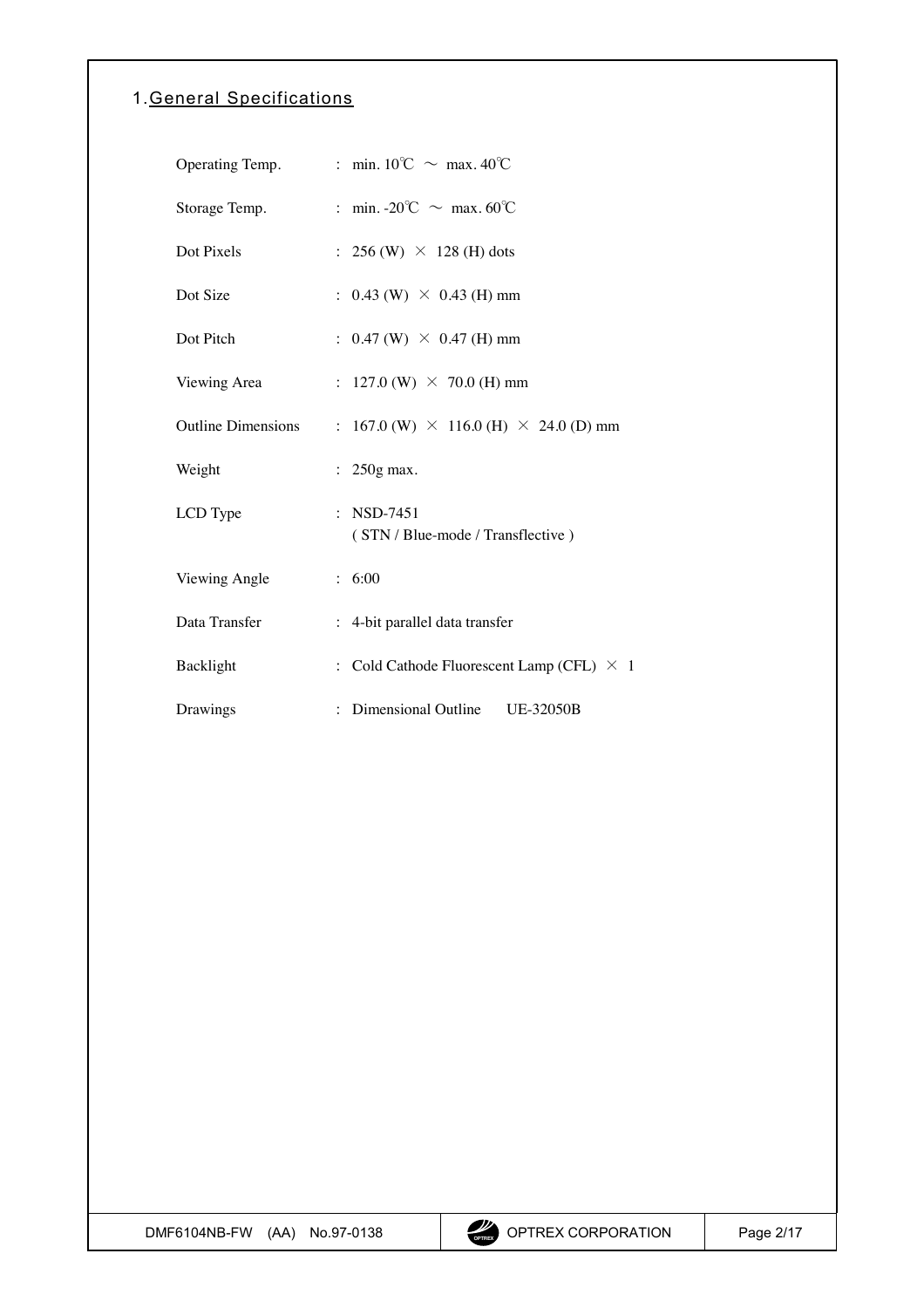# <span id="page-1-0"></span>1.General Specifications

| Operating Temp.           | : min. $10^{\circ}$ C ~ max. $40^{\circ}$ C         |
|---------------------------|-----------------------------------------------------|
| Storage Temp.             | : min. -20°C $\sim$ max. 60°C                       |
| Dot Pixels                | : 256 (W) $\times$ 128 (H) dots                     |
| Dot Size                  | : $0.43$ (W) $\times$ 0.43 (H) mm                   |
| Dot Pitch                 | : $0.47$ (W) $\times$ 0.47 (H) mm                   |
| Viewing Area              | : 127.0 (W) $\times$ 70.0 (H) mm                    |
| <b>Outline Dimensions</b> | : 167.0 (W) $\times$ 116.0 (H) $\times$ 24.0 (D) mm |
| Weight                    | $250g$ max.                                         |
| LCD Type                  | : NSD-7451<br>(STN / Blue-mode / Transflective)     |
| Viewing Angle             | : 6:00                                              |
| Data Transfer             | : 4-bit parallel data transfer                      |
| Backlight                 | : Cold Cathode Fluorescent Lamp (CFL) $\times$ 1    |
| Drawings                  | : Dimensional Outline UE-32050B                     |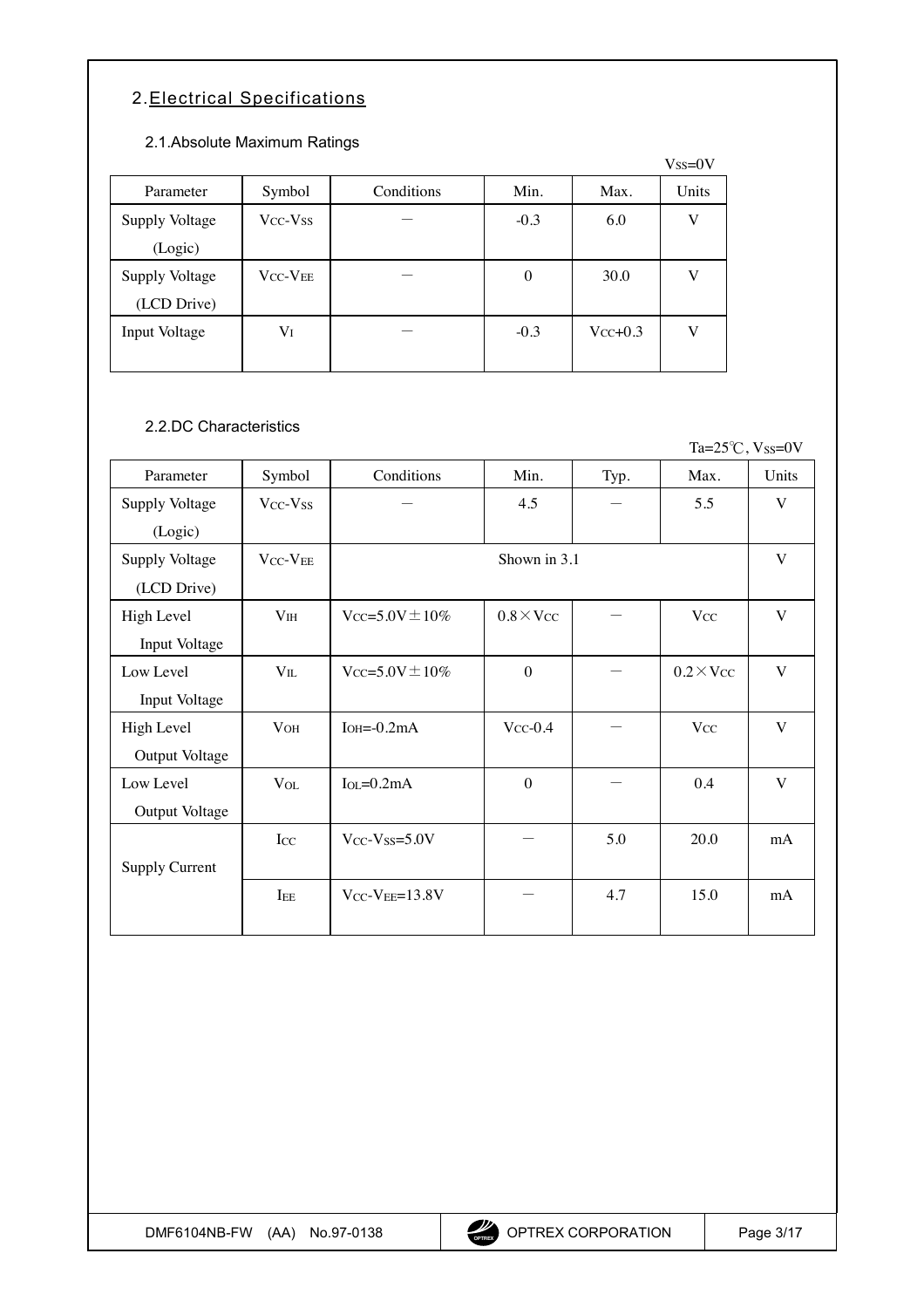# <span id="page-2-0"></span>2.Electrical Specifications

### 2.1.Absolute Maximum Ratings

|                |                                  | ັ          |                  |              | $V$ ss= $0V$ |
|----------------|----------------------------------|------------|------------------|--------------|--------------|
| Parameter      | Symbol                           | Conditions | Min.             | Max.         | Units        |
| Supply Voltage | V <sub>CC</sub> -V <sub>SS</sub> |            | $-0.3$           | 6.0          | V            |
| (Logic)        |                                  |            |                  |              |              |
| Supply Voltage | <b>VCC-VEE</b>                   |            | $\boldsymbol{0}$ | 30.0         | V            |
| (LCD Drive)    |                                  |            |                  |              |              |
| Input Voltage  | Vī                               |            | $-0.3$           | $V_{CC}+0.3$ | V            |
|                |                                  |            |                  |              |              |

# 2.2.DC Characteristics

Ta= $25^{\circ}$ C, Vss=0V

| Parameter             | Symbol                           | Conditions                      | Min.            | Typ. | Max.                  | Units |  |  |
|-----------------------|----------------------------------|---------------------------------|-----------------|------|-----------------------|-------|--|--|
| Supply Voltage        | Vcc-Vss                          |                                 | 4.5             |      | 5.5                   | V     |  |  |
| (Logic)               |                                  |                                 |                 |      |                       |       |  |  |
| Supply Voltage        | V <sub>CC</sub> -V <sub>EE</sub> | Shown in 3.1                    |                 |      |                       |       |  |  |
| (LCD Drive)           |                                  |                                 |                 |      |                       |       |  |  |
| High Level            | V <sub>IH</sub>                  | $V_{CC} = 5.0V \pm 10\%$        | $0.8\times$ Vcc |      | <b>V<sub>CC</sub></b> | V     |  |  |
| Input Voltage         |                                  |                                 |                 |      |                       |       |  |  |
| Low Level             | $V_{IL}$                         | $V_{CC} = 5.0V \pm 10\%$        | $\theta$        |      | $0.2 \times V_{CC}$   | V     |  |  |
| Input Voltage         |                                  |                                 |                 |      |                       |       |  |  |
| High Level            | V <sub>OH</sub>                  | $IOH=-0.2mA$                    | $V_{CC}$ -0.4   |      | <b>Vcc</b>            | V     |  |  |
| Output Voltage        |                                  |                                 |                 |      |                       |       |  |  |
| Low Level             | $V_{OL}$                         | $I_{\text{OI}} = 0.2 \text{mA}$ | $\theta$        |      | 0.4                   | V     |  |  |
| Output Voltage        |                                  |                                 |                 |      |                       |       |  |  |
|                       | Icc                              | $V_{CC}$ - $V_{SS}=5.0V$        |                 | 5.0  | 20.0                  | mA    |  |  |
| <b>Supply Current</b> |                                  |                                 |                 |      |                       |       |  |  |
|                       | IEE                              | $V_{CC}$ - $V_{EE}$ =13.8V      |                 | 4.7  | 15.0                  | mA    |  |  |
|                       |                                  |                                 |                 |      |                       |       |  |  |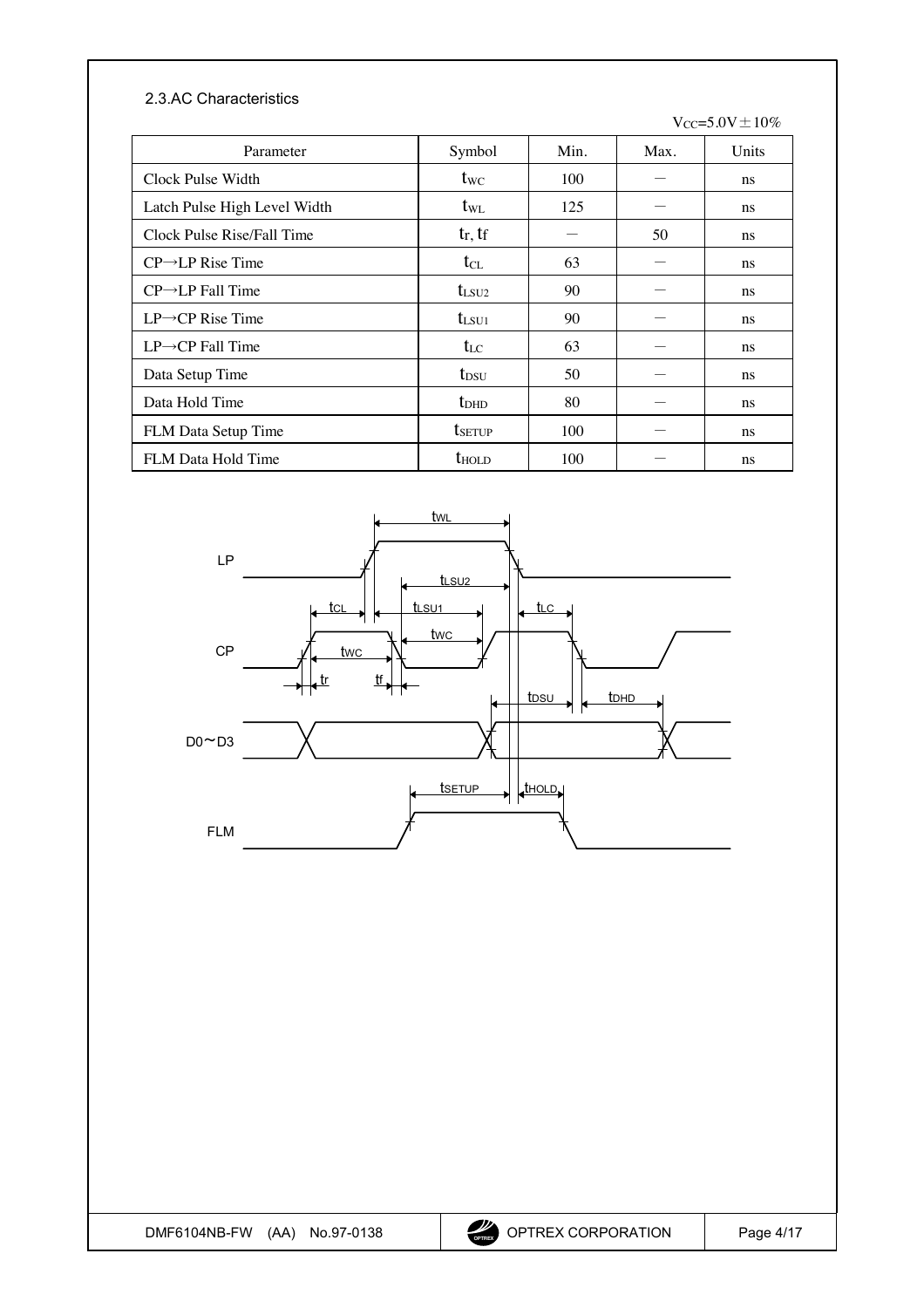### 2.3.AC Characteristics

 $Vcc=5.0V\pm10\%$ 

| Parameter                     | Symbol             | Min. | Max. | Units |
|-------------------------------|--------------------|------|------|-------|
| Clock Pulse Width             | $t_{\text{WC}}$    | 100  |      | ns    |
| Latch Pulse High Level Width  | t <sub>w</sub>     | 125  |      | ns    |
| Clock Pulse Rise/Fall Time    | $t_r$ , $t_f$      |      | 50   | ns    |
| $CP \rightarrow LP$ Rise Time | $t_{CL}$           | 63   |      | ns    |
| $CP \rightarrow LP$ Fall Time | $t_{LSU2}$         | 90   |      | ns    |
| $LP \rightarrow CP$ Rise Time | $t_{LSU1}$         | 90   |      | ns    |
| $LP \rightarrow CP$ Fall Time | $t_{LC}$           | 63   |      | ns    |
| Data Setup Time               | $t_{DSU}$          | 50   |      | ns    |
| Data Hold Time                | $t_{\rm DHD}$      | 80   |      | ns    |
| FLM Data Setup Time           | t <sub>SETUP</sub> | 100  |      | ns    |
| FLM Data Hold Time            | $t_{\text{HOLD}}$  | 100  |      | ns    |

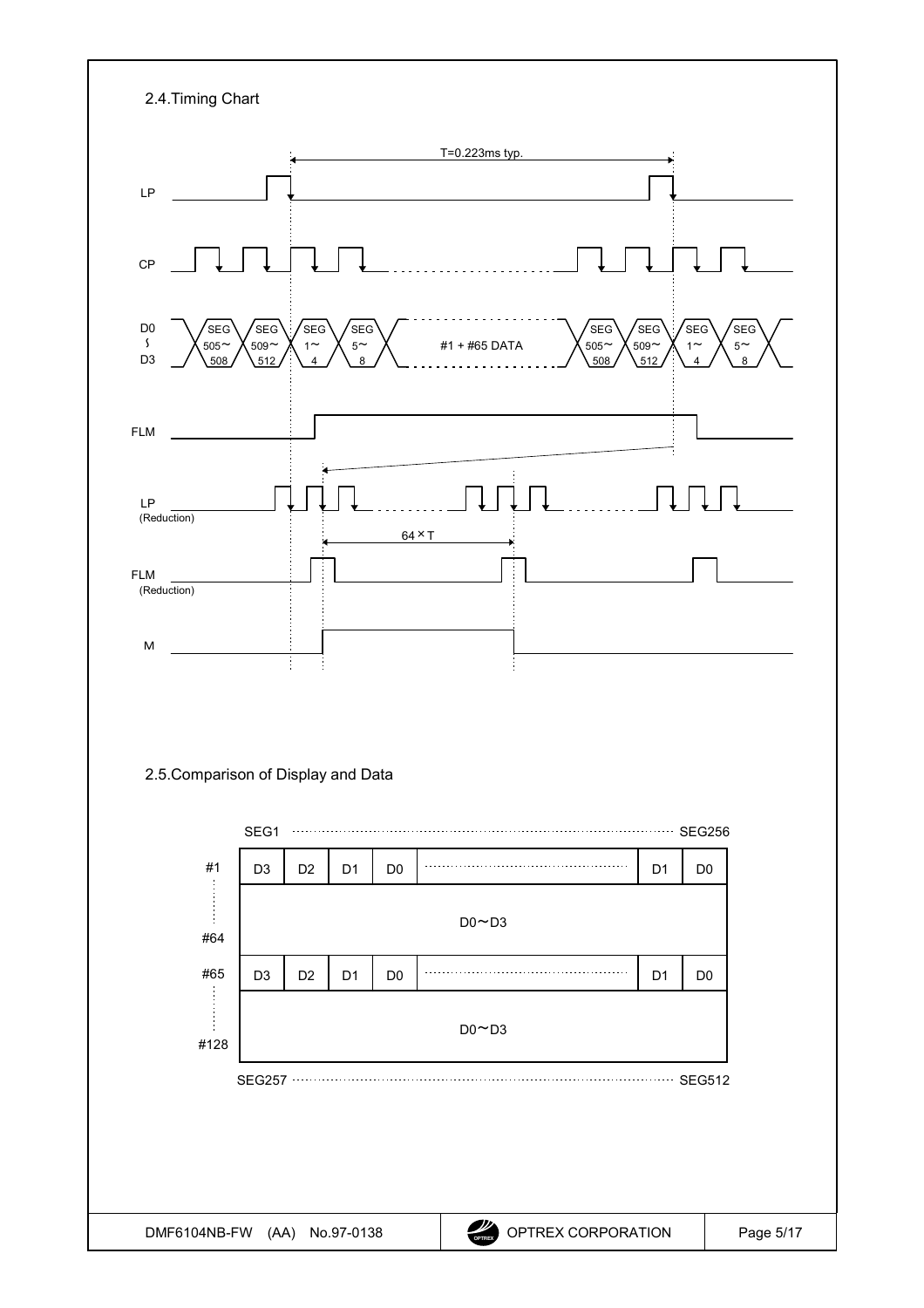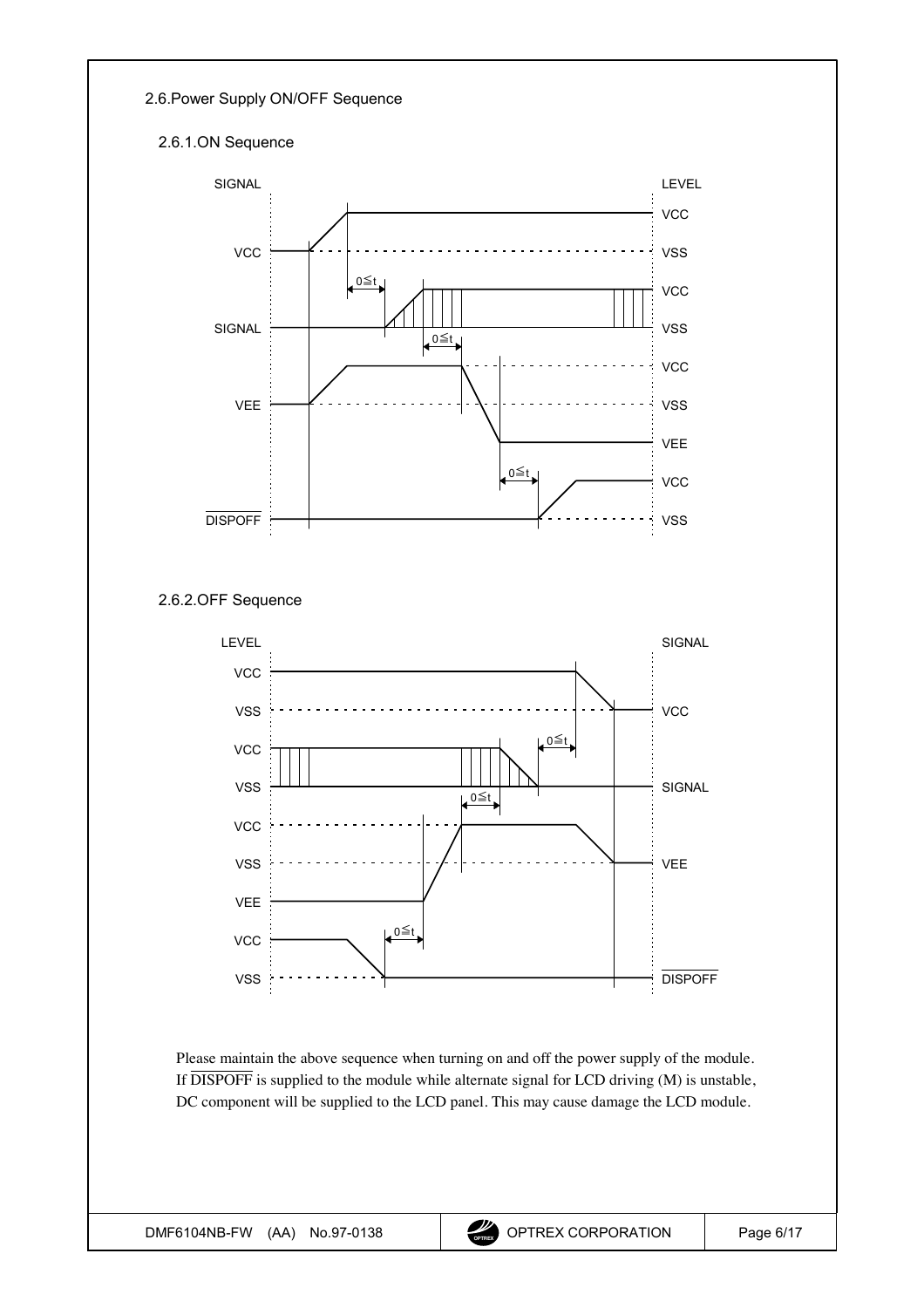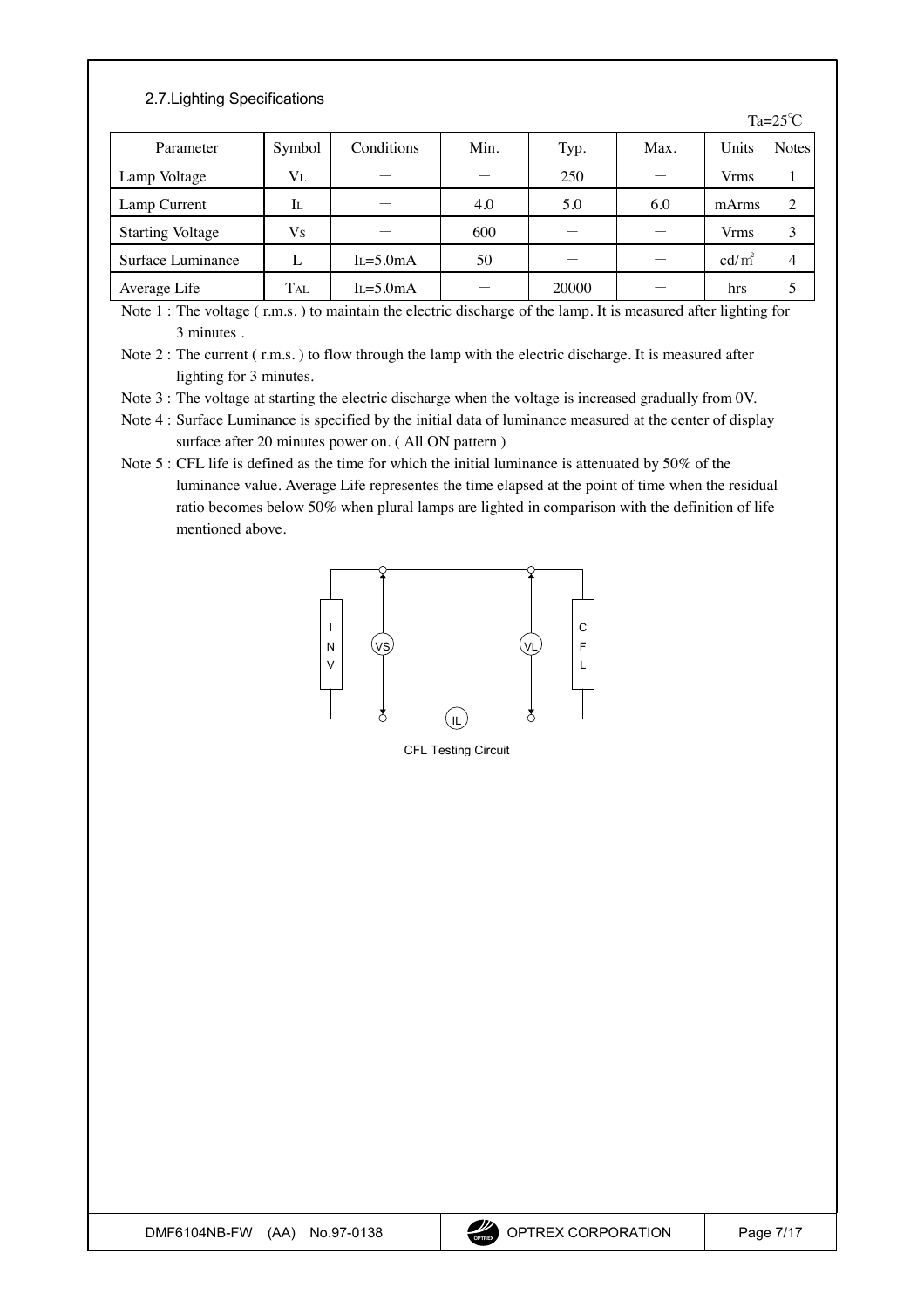### 2.7.Lighting Specifications

|                         |            |                |      |       |      |                 | Ta= $25^{\circ}$ C |
|-------------------------|------------|----------------|------|-------|------|-----------------|--------------------|
| Parameter               | Symbol     | Conditions     | Min. | Typ.  | Max. | Units           | <b>Notes</b>       |
| Lamp Voltage            | $V_{L}$    |                |      | 250   |      | Vrms            |                    |
| Lamp Current            | Il         |                | 4.0  | 5.0   | 6.0  | mArms           | 2                  |
| <b>Starting Voltage</b> | Vs         |                | 600  |       |      | Vrms            | 3                  |
| Surface Luminance       |            | $I_1 = 5.0$ mA | 50   |       |      | $\text{cd/m}^2$ | 4                  |
| Average Life            | <b>TAL</b> | $L = 5.0mA$    |      | 20000 |      | hrs             |                    |

Note 1 : The voltage ( r.m.s. ) to maintain the electric discharge of the lamp. It is measured after lighting for 3 minutes .

Note 3 : The voltage at starting the electric discharge when the voltage is increased gradually from 0V.

Note 4 : Surface Luminance is specified by the initial data of luminance measured at the center of display surface after 20 minutes power on. ( All ON pattern )

Note 5 : CFL life is defined as the time for which the initial luminance is attenuated by 50% of the luminance value. Average Life representes the time elapsed at the point of time when the residual ratio becomes below 50% when plural lamps are lighted in comparison with the definition of life mentioned above.



CFL Testing Circuit

Note 2 : The current ( r.m.s. ) to flow through the lamp with the electric discharge. It is measured after lighting for 3 minutes.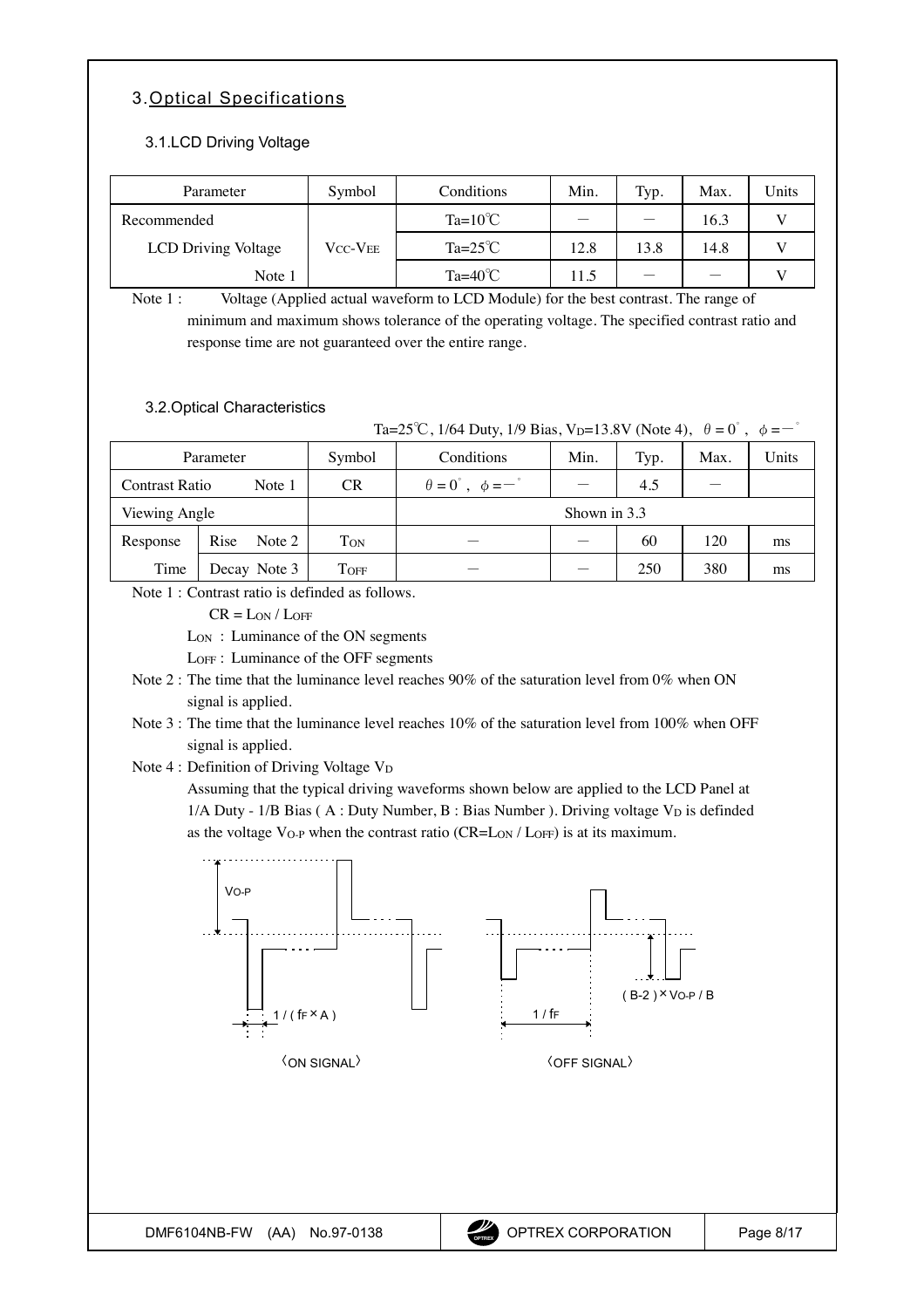## <span id="page-7-0"></span>3.Optical Specifications

#### 3.1.LCD Driving Voltage

| Parameter           | Symbol                     | Conditions       | Min. | Typ. | Max. | <b>Units</b> |
|---------------------|----------------------------|------------------|------|------|------|--------------|
| Recommended         |                            | $Ta=10^{\circ}C$ |      |      | 16.3 |              |
| LCD Driving Voltage | $\rm V_{CC}\text{-}V_{EE}$ | $Ta=25^{\circ}C$ | 12.8 | 13.8 | 14.8 |              |
| Note 1              |                            | $Ta=40^{\circ}C$ | 11.5 |      |      |              |

Note 1 : Voltage (Applied actual waveform to LCD Module) for the best contrast. The range of minimum and maximum shows tolerance of the operating voltage. The specified contrast ratio and response time are not guaranteed over the entire range.

#### 3.2.Optical Characteristics

Ta=25<sup>°</sup>C, 1/64 Duty, 1/9 Bias, V<sub>D</sub>=13.8V (Note 4),  $\theta = 0^{\degree}$ ,  $\phi = -\degree$ 

| Parameter      |                | Symbol    | Conditions                                           | Min. | Typ. | Max. | Units |
|----------------|----------------|-----------|------------------------------------------------------|------|------|------|-------|
| Contrast Ratio | Note 1         | <b>CR</b> | $\theta = 0^{\circ}$ , $\phi = -\frac{\circ}{\cdot}$ |      | 4.5  |      |       |
| Viewing Angle  |                |           | Shown in 3.3                                         |      |      |      |       |
| Response       | Rise<br>Note 2 | Ton       |                                                      |      | 60   | 120  | ms    |
| Time           | Decay Note 3   | TOFF      |                                                      |      | 250  | 380  | ms    |

Note 1 : Contrast ratio is definded as follows.

 $CR = L<sub>ON</sub> / L<sub>OFF</sub>$ 

LON : Luminance of the ON segments

LOFF : Luminance of the OFF segments

- Note 2 : The time that the luminance level reaches 90% of the saturation level from 0% when ON signal is applied.
- Note 3 : The time that the luminance level reaches 10% of the saturation level from 100% when OFF signal is applied.
- Note 4 : Definition of Driving Voltage VD

Assuming that the typical driving waveforms shown below are applied to the LCD Panel at  $1/A$  Duty -  $1/B$  Bias (A : Duty Number, B : Bias Number). Driving voltage V<sub>D</sub> is definded as the voltage VO-P when the contrast ratio (CR=LON / LOFF) is at its maximum.

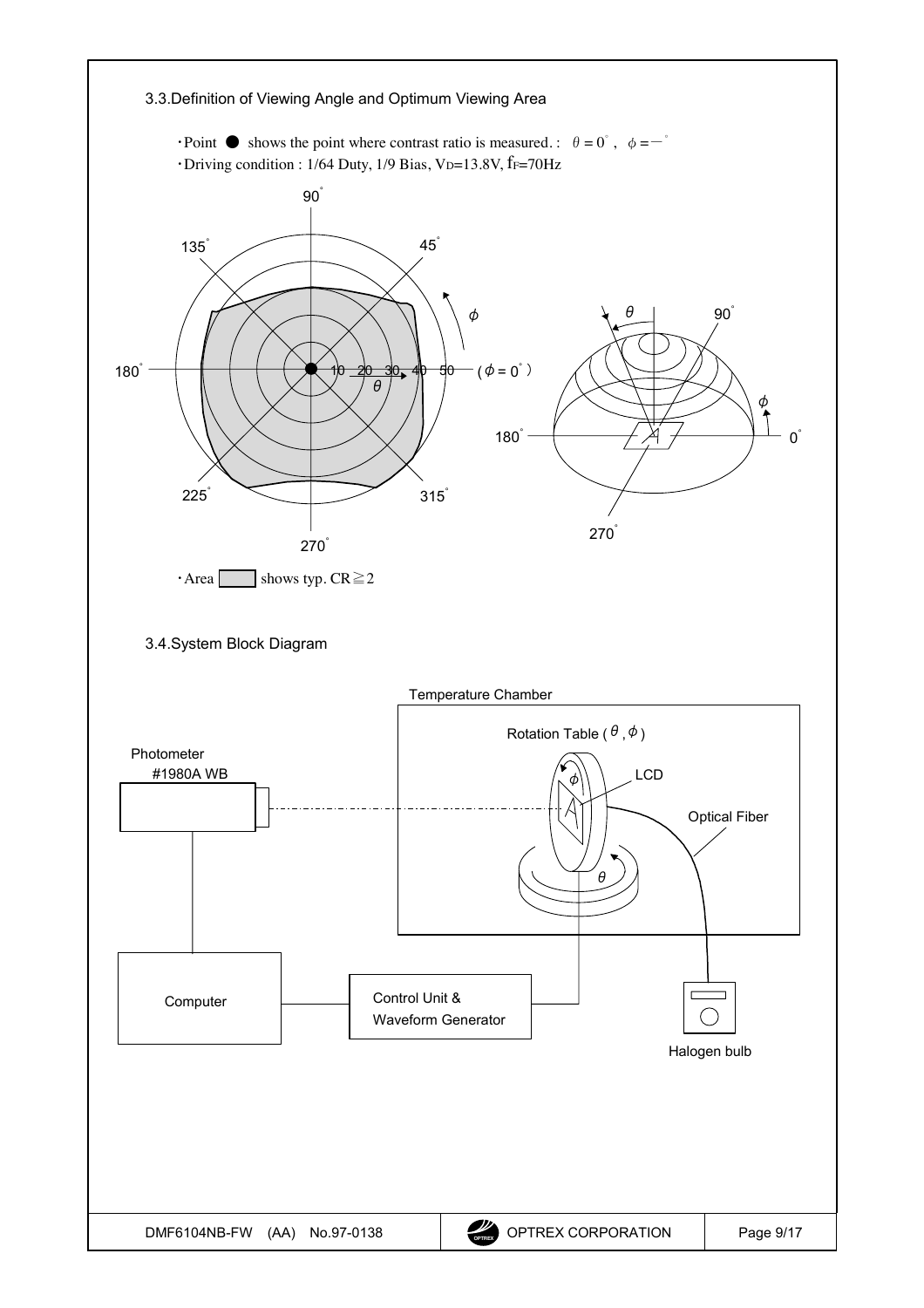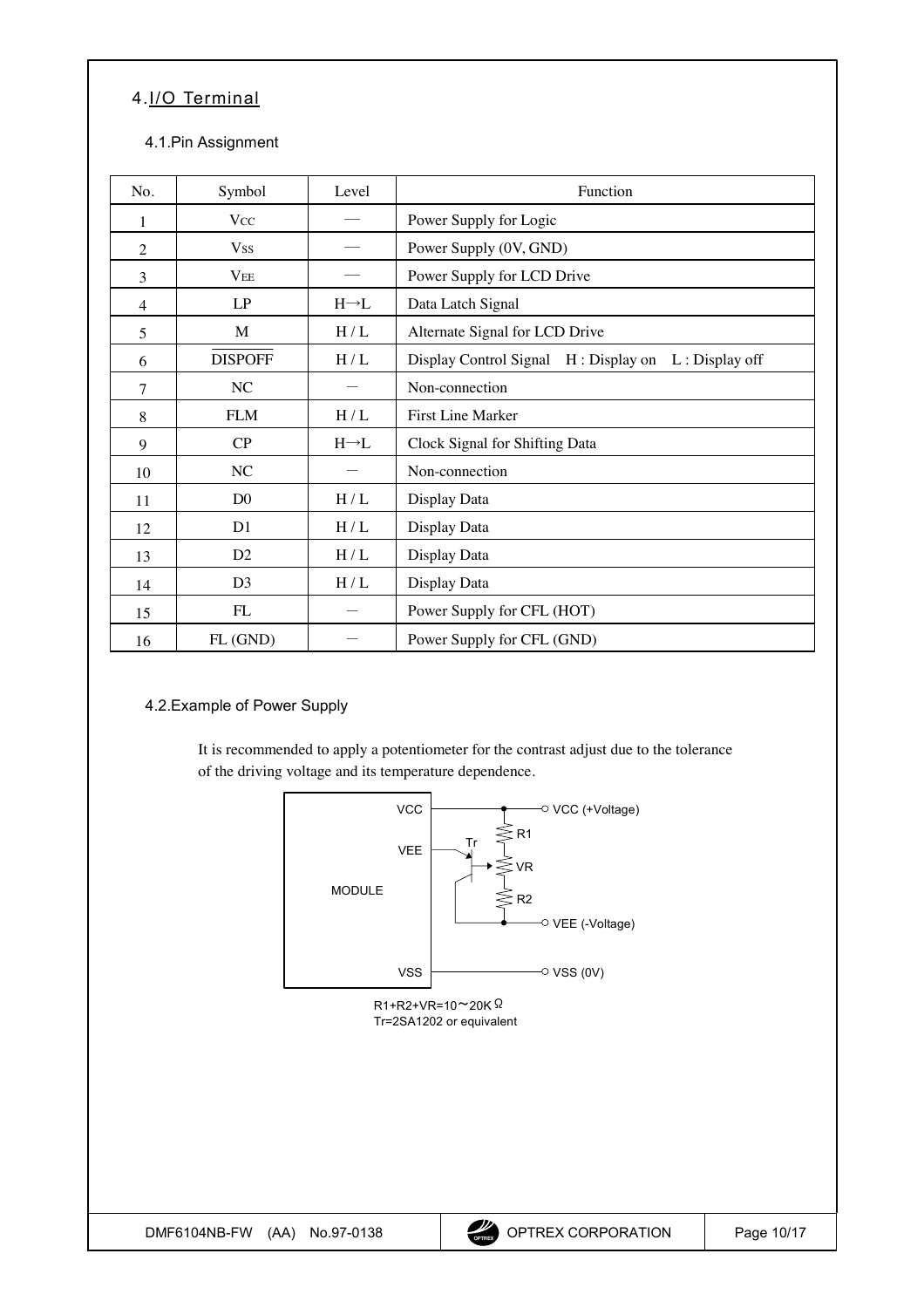# <span id="page-9-0"></span>4.I/O Terminal

### 4.1.Pin Assignment

| No.            | Symbol         | Level             | Function                                            |
|----------------|----------------|-------------------|-----------------------------------------------------|
| 1              | <b>Vcc</b>     |                   | Power Supply for Logic                              |
| $\overline{2}$ | <b>Vss</b>     |                   | Power Supply (0V, GND)                              |
| 3              | $V_{EE}$       |                   | Power Supply for LCD Drive                          |
| $\overline{4}$ | LP             | $H \rightarrow L$ | Data Latch Signal                                   |
| 5              | M              | H/L               | Alternate Signal for LCD Drive                      |
| 6              | <b>DISPOFF</b> | H/L               | Display Control Signal H: Display on L: Display off |
| 7              | NC             |                   | Non-connection                                      |
| 8              | <b>FLM</b>     | H/L               | First Line Marker                                   |
| 9              | CP             | $H \rightarrow L$ | Clock Signal for Shifting Data                      |
| 10             | NC             |                   | Non-connection                                      |
| 11             | D <sub>0</sub> | H/L               | Display Data                                        |
| 12             | D <sub>1</sub> | H/L               | Display Data                                        |
| 13             | D2             | H/L               | Display Data                                        |
| 14             | D <sub>3</sub> | $\rm H$ / $\rm L$ | Display Data                                        |
| 15             | FL             |                   | Power Supply for CFL (HOT)                          |
| 16             | FL (GND)       |                   | Power Supply for CFL (GND)                          |

### 4.2.Example of Power Supply

It is recommended to apply a potentiometer for the contrast adjust due to the tolerance of the driving voltage and its temperature dependence.

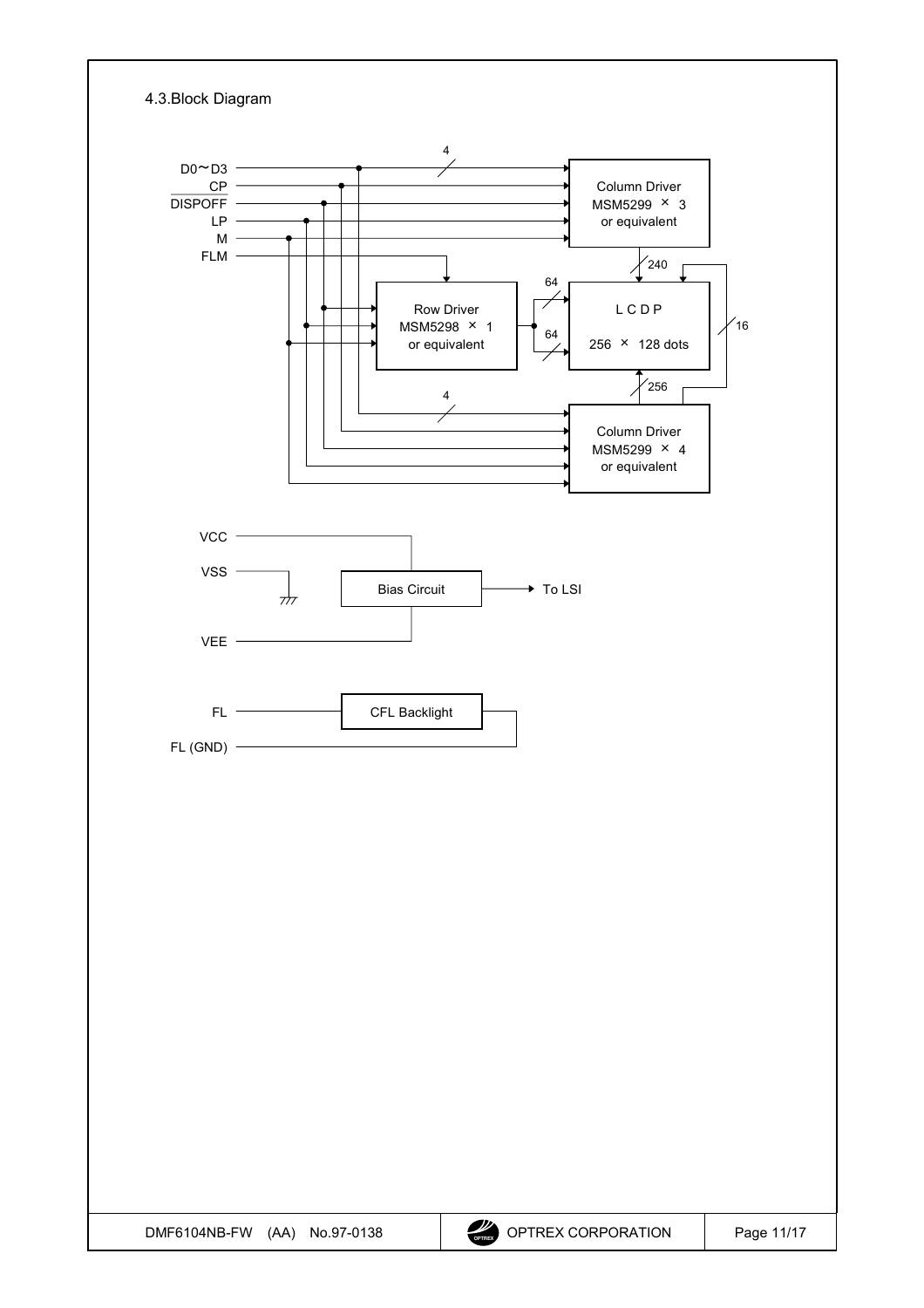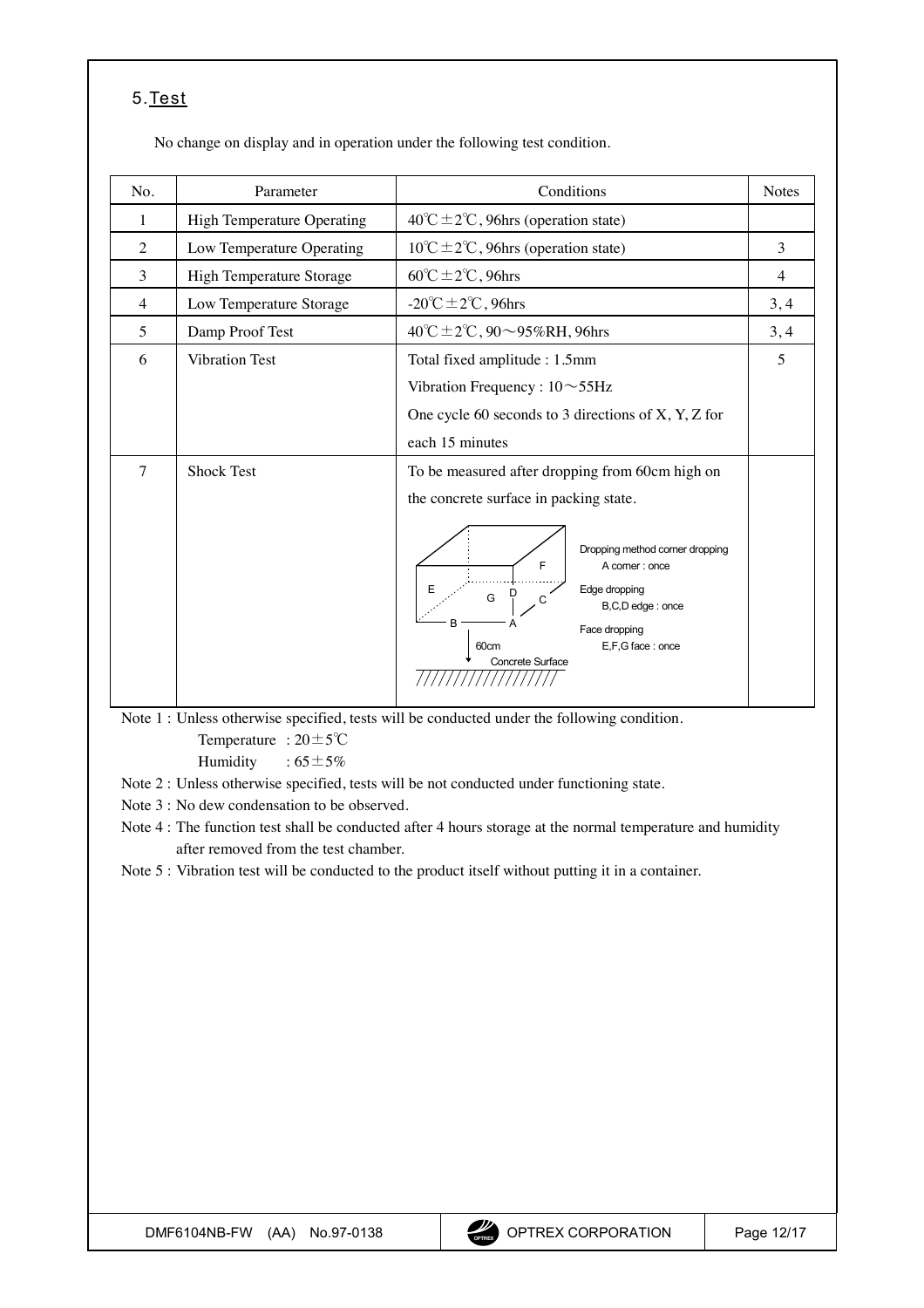# <span id="page-11-0"></span>5.Test

No change on display and in operation under the following test condition.

| No.    | Parameter                  | Conditions                                                                                                                                                            | <b>Notes</b>   |
|--------|----------------------------|-----------------------------------------------------------------------------------------------------------------------------------------------------------------------|----------------|
| 1      | High Temperature Operating | $40^{\circ}$ C ± 2°C, 96hrs (operation state)                                                                                                                         |                |
| 2      | Low Temperature Operating  | $10^{\circ}$ C ± 2°C, 96hrs (operation state)                                                                                                                         | 3              |
| 3      | High Temperature Storage   | $60^{\circ}$ C $\pm$ 2°C, 96hrs                                                                                                                                       | $\overline{4}$ |
| 4      | Low Temperature Storage    | -20°C $\pm$ 2°C, 96hrs                                                                                                                                                | 3, 4           |
| 5      | Damp Proof Test            | 40℃±2℃, 90~95%RH, 96hrs                                                                                                                                               | 3, 4           |
| 6      | <b>Vibration Test</b>      | Total fixed amplitude : 1.5mm                                                                                                                                         | 5              |
|        |                            | Vibration Frequency : $10 \sim 55$ Hz                                                                                                                                 |                |
|        |                            | One cycle 60 seconds to 3 directions of $X$ , $Y$ , $Z$ for                                                                                                           |                |
|        |                            | each 15 minutes                                                                                                                                                       |                |
| $\tau$ | <b>Shock Test</b>          | To be measured after dropping from 60cm high on                                                                                                                       |                |
|        |                            | the concrete surface in packing state.                                                                                                                                |                |
|        |                            | Dropping method corner dropping<br>F<br>A comer: once<br>Edge dropping<br>G<br>B,C,D edge: once<br>B<br>Face dropping<br>E,F,G face: once<br>60cm<br>Concrete Surface |                |

Note 1 : Unless otherwise specified, tests will be conducted under the following condition. Temperature :  $20 \pm 5^{\circ}$ C

Humidity :  $65 \pm 5\%$ 

Note 2 : Unless otherwise specified, tests will be not conducted under functioning state.

Note 3 : No dew condensation to be observed.

Note 4 : The function test shall be conducted after 4 hours storage at the normal temperature and humidity after removed from the test chamber.

Note 5 : Vibration test will be conducted to the product itself without putting it in a container.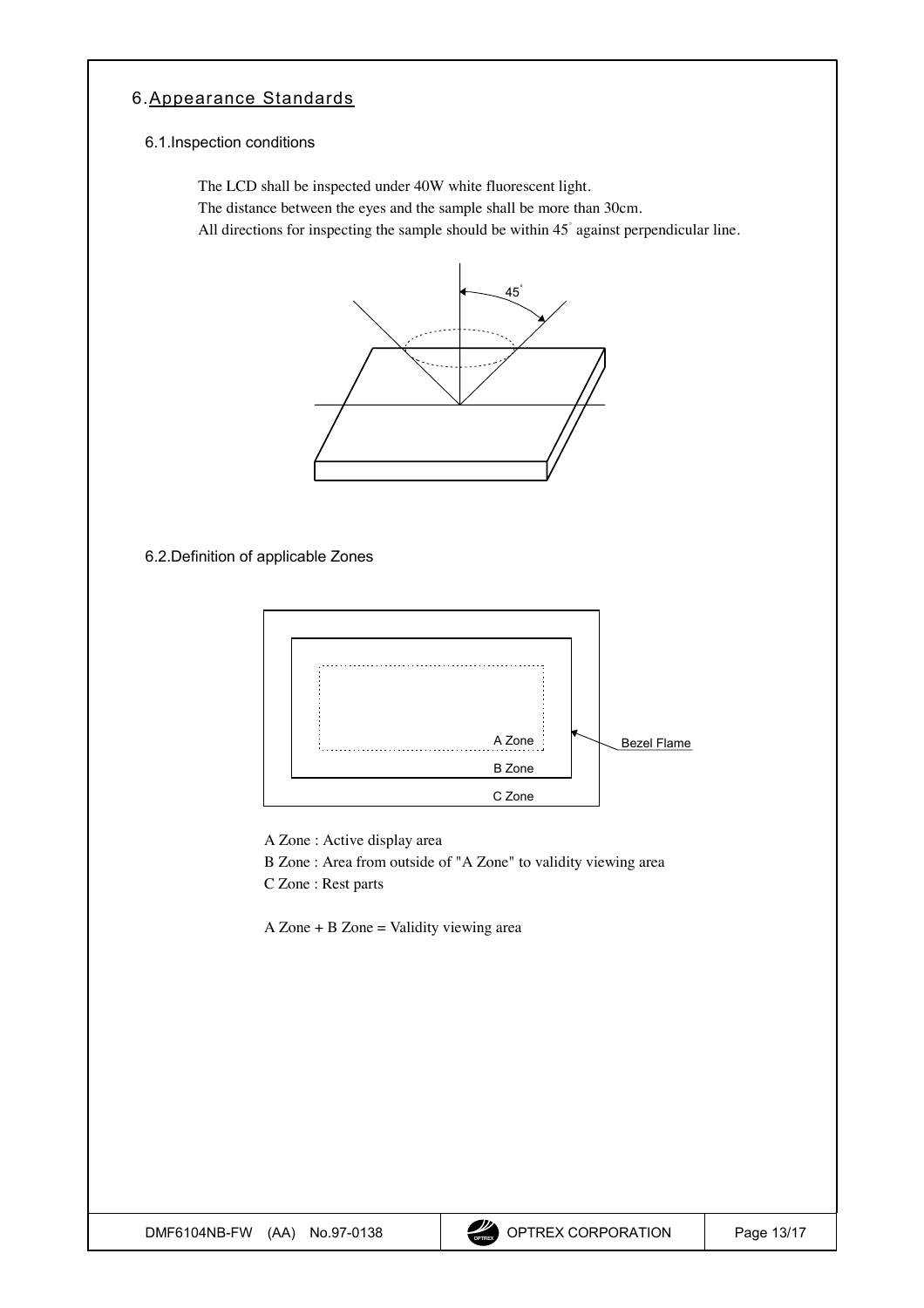### <span id="page-12-0"></span>6.Appearance Standards

#### 6.1.Inspection conditions

The LCD shall be inspected under 40W white fluorescent light.

The distance between the eyes and the sample shall be more than 30cm.

All directions for inspecting the sample should be within  $45^\circ$  against perpendicular line.



6.2.Definition of applicable Zones



A Zone : Active display area

B Zone : Area from outside of "A Zone" to validity viewing area

C Zone : Rest parts

 $A$  Zone + B Zone = Validity viewing area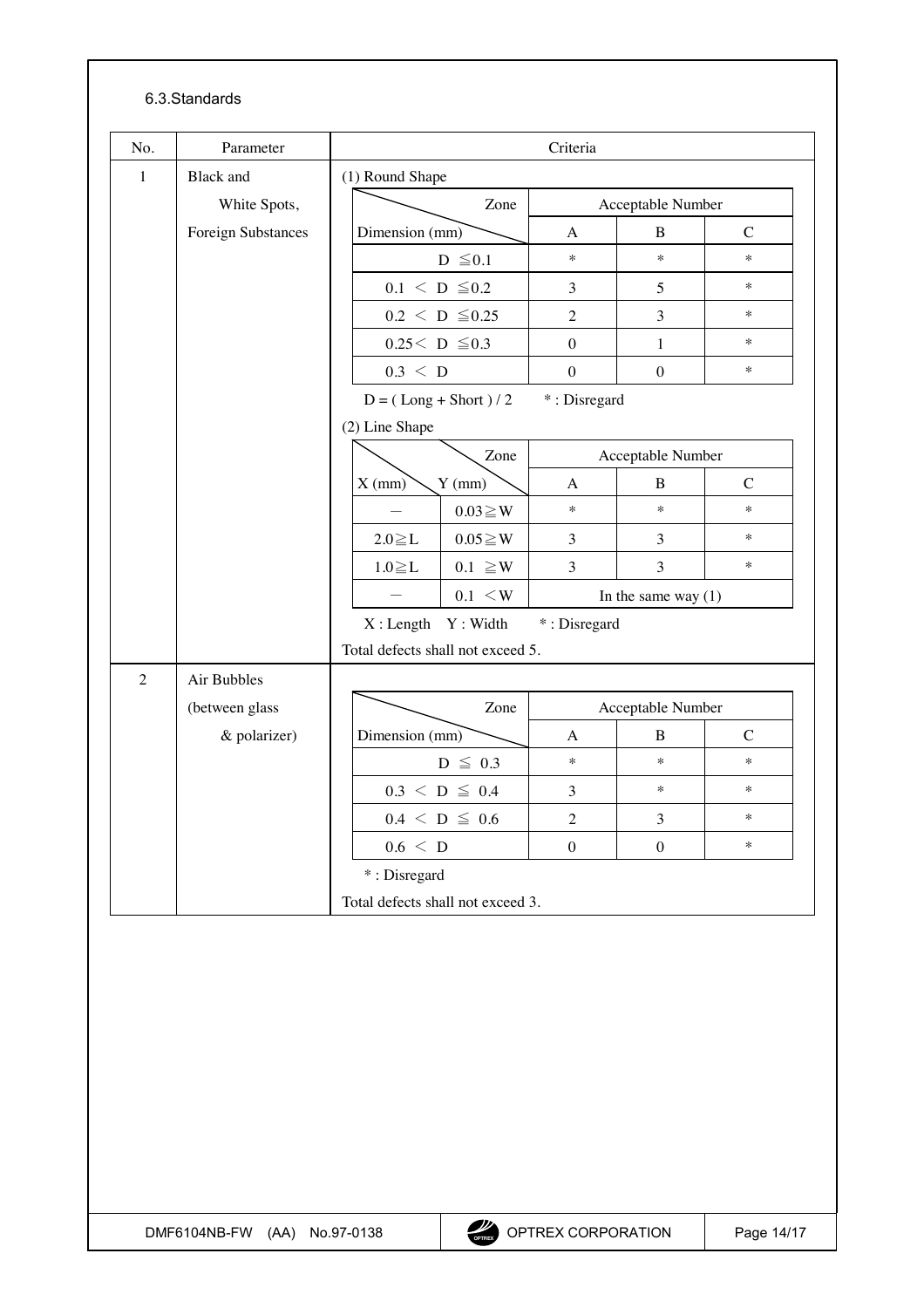### 6.3.Standards

| No.                               | Parameter          | Criteria                                 |                                                                                        |                      |                       |                  |               |  |
|-----------------------------------|--------------------|------------------------------------------|----------------------------------------------------------------------------------------|----------------------|-----------------------|------------------|---------------|--|
| $\mathbf{1}$                      | <b>Black</b> and   |                                          | (1) Round Shape                                                                        |                      |                       |                  |               |  |
|                                   | White Spots,       |                                          | Zone                                                                                   |                      | Acceptable Number     |                  |               |  |
|                                   | Foreign Substances |                                          | Dimension (mm)                                                                         |                      | A                     | B                | $\mathcal{C}$ |  |
|                                   |                    |                                          | $D \leq 0.1$                                                                           |                      | $\star$               | $\ast$           | $\ast$        |  |
|                                   |                    |                                          | $0.1 \le D \le 0.2$                                                                    |                      | 3                     | 5                | $\ast$        |  |
|                                   |                    |                                          |                                                                                        | $0.2 \le D \le 0.25$ | $\overline{2}$        | $\overline{3}$   | $\ast$        |  |
|                                   |                    |                                          | $0.25<\;D\;\leq0.3$                                                                    |                      | $\theta$              | 1                | $\ast$        |  |
|                                   |                    |                                          | $0.3 \leq D$                                                                           |                      | $\boldsymbol{0}$      | $\overline{0}$   | $\ast$        |  |
|                                   |                    | *: Disregard<br>$D = (Long + Short) / 2$ |                                                                                        |                      |                       |                  |               |  |
|                                   |                    | (2) Line Shape                           |                                                                                        |                      |                       |                  |               |  |
|                                   |                    |                                          |                                                                                        | Zone                 | Acceptable Number     |                  |               |  |
|                                   |                    |                                          | $X$ (mm)<br>$Y$ (mm)                                                                   |                      | A                     | B                | $\mathsf{C}$  |  |
|                                   |                    |                                          |                                                                                        | $0.03 \geq W$        | $\ast$                | $\ast$           | $\ast$        |  |
|                                   |                    |                                          | $2.0 \geq L$                                                                           | $0.05 \geq W$        | 3                     | 3                | $\ast$        |  |
|                                   |                    |                                          | $1.0 \geq L$                                                                           | $0.1 \geq W$         | 3                     | $\mathfrak{Z}$   | $\ast$        |  |
|                                   |                    |                                          |                                                                                        | $0.1 \leq W$         | In the same way $(1)$ |                  |               |  |
|                                   |                    |                                          |                                                                                        | X: Length Y: Width   | *: Disregard          |                  |               |  |
|                                   |                    | Total defects shall not exceed 5.        |                                                                                        |                      |                       |                  |               |  |
| $\overline{2}$                    | Air Bubbles        |                                          |                                                                                        |                      |                       |                  |               |  |
|                                   | (between glass     |                                          | Zone                                                                                   |                      | Acceptable Number     |                  |               |  |
|                                   | & polarizer)       |                                          | Dimension (mm)<br>$D \leq 0.3$<br>$0.3 \le D \le 0.4$<br>$0.4~<~D~\leq~0.6$<br>0.6 < D |                      | A                     | $\mathbf B$      | $\mathbf C$   |  |
|                                   |                    |                                          |                                                                                        |                      | $\ast$                | $\ast$           | $\ast$        |  |
|                                   |                    |                                          |                                                                                        |                      | 3                     | $\ast$           | $\ast$        |  |
|                                   |                    |                                          |                                                                                        |                      | $\overline{2}$        | 3                | $\ast$        |  |
|                                   |                    |                                          |                                                                                        |                      | $\boldsymbol{0}$      | $\boldsymbol{0}$ | $\ast$        |  |
|                                   |                    |                                          | *: Disregard                                                                           |                      |                       |                  |               |  |
| Total defects shall not exceed 3. |                    |                                          |                                                                                        |                      |                       |                  |               |  |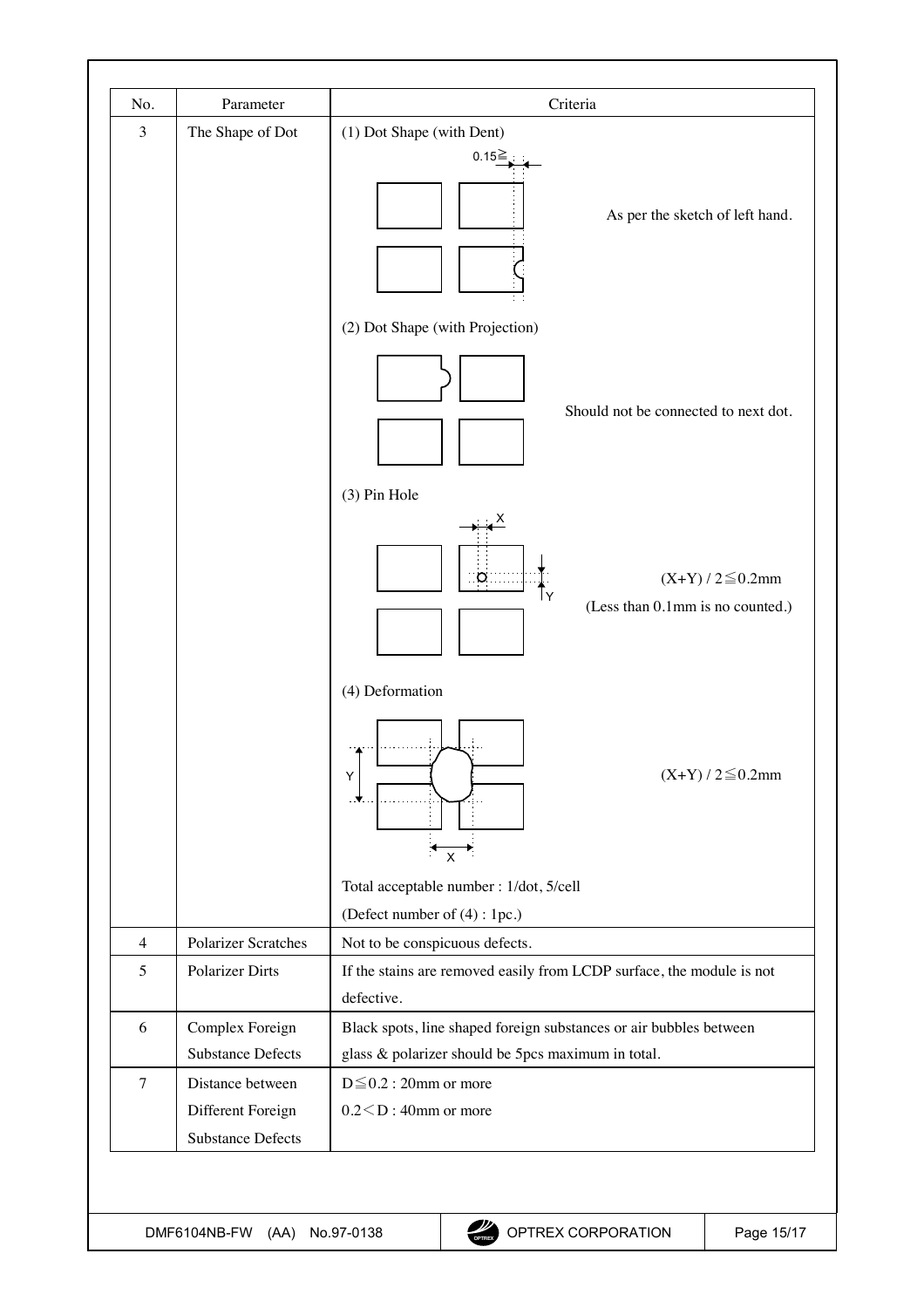| No.            | Parameter                                                         | Criteria                                                                                                                 |  |  |  |  |
|----------------|-------------------------------------------------------------------|--------------------------------------------------------------------------------------------------------------------------|--|--|--|--|
| 3              | The Shape of Dot                                                  | (1) Dot Shape (with Dent)                                                                                                |  |  |  |  |
|                |                                                                   | $0.15 =$<br>As per the sketch of left hand.                                                                              |  |  |  |  |
|                |                                                                   | (2) Dot Shape (with Projection)                                                                                          |  |  |  |  |
|                |                                                                   | Should not be connected to next dot.                                                                                     |  |  |  |  |
|                |                                                                   | (3) Pin Hole                                                                                                             |  |  |  |  |
|                |                                                                   | $(X+Y)/2 \le 0.2$ mm<br>$\circ$<br>(Less than 0.1mm is no counted.)                                                      |  |  |  |  |
|                |                                                                   | (4) Deformation                                                                                                          |  |  |  |  |
|                |                                                                   | $(X+Y)/2 \leq 0.2$ mm<br>Y<br>-.▼<br>$\pmb{\times}$                                                                      |  |  |  |  |
|                |                                                                   | Total acceptable number : 1/dot, 5/cell                                                                                  |  |  |  |  |
|                |                                                                   | (Defect number of (4) : 1pc.)                                                                                            |  |  |  |  |
| $\overline{4}$ | <b>Polarizer Scratches</b>                                        | Not to be conspicuous defects.                                                                                           |  |  |  |  |
| 5              | <b>Polarizer Dirts</b>                                            | If the stains are removed easily from LCDP surface, the module is not<br>defective.                                      |  |  |  |  |
| 6              | Complex Foreign<br><b>Substance Defects</b>                       | Black spots, line shaped foreign substances or air bubbles between<br>glass & polarizer should be 5pcs maximum in total. |  |  |  |  |
| $\overline{7}$ | Distance between<br>Different Foreign<br><b>Substance Defects</b> | $D \leq 0.2$ : 20mm or more<br>$0.2 < D$ : 40mm or more                                                                  |  |  |  |  |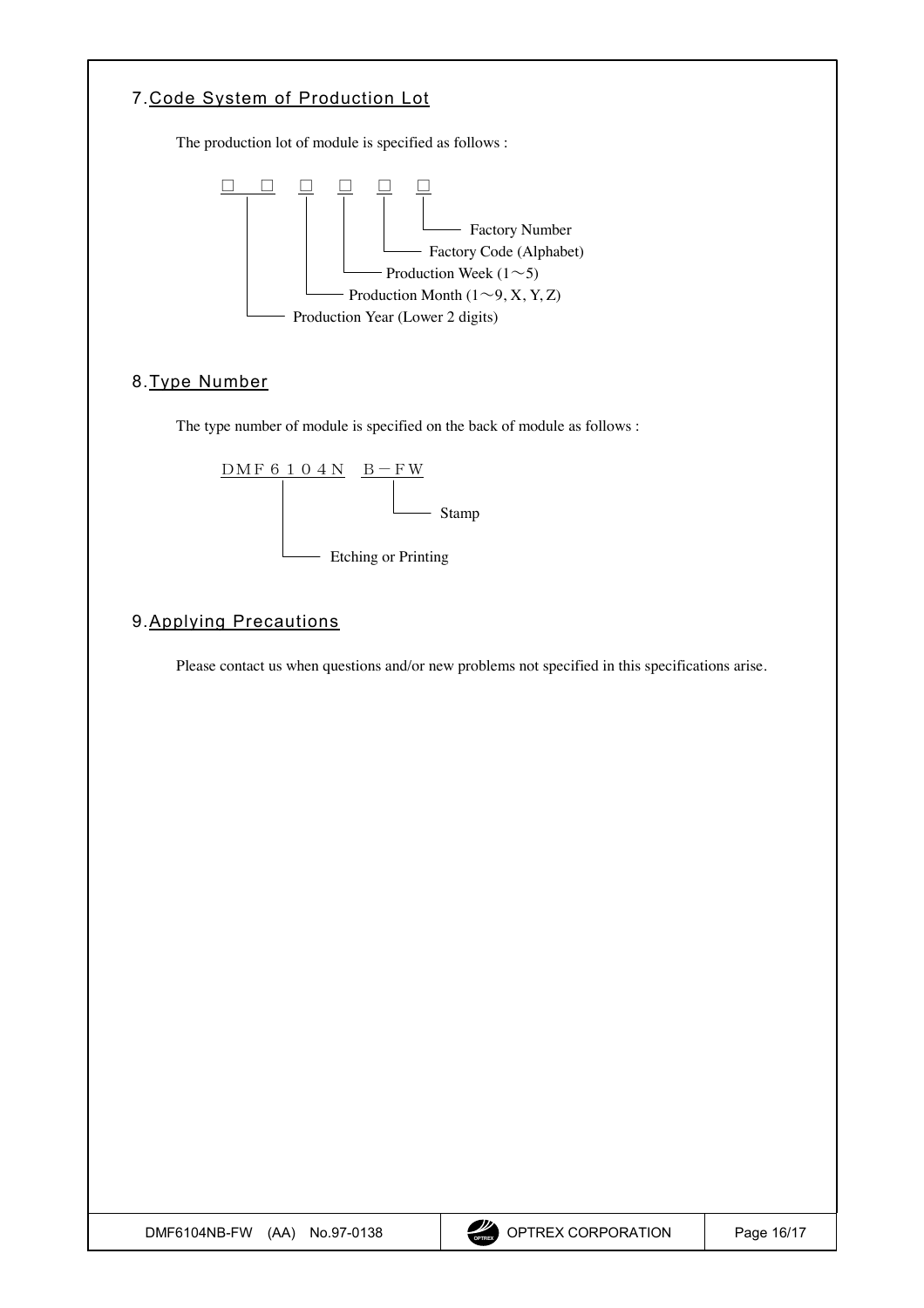<span id="page-15-0"></span>